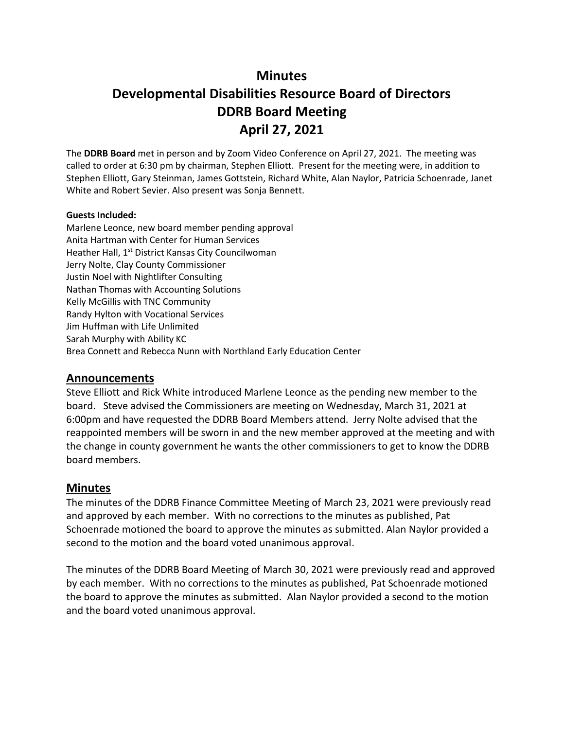## **Minutes**

# **Developmental Disabilities Resource Board of Directors DDRB Board Meeting April 27, 2021**

The **DDRB Board** met in person and by Zoom Video Conference on April 27, 2021. The meeting was called to order at 6:30 pm by chairman, Stephen Elliott. Present for the meeting were, in addition to Stephen Elliott, Gary Steinman, James Gottstein, Richard White, Alan Naylor, Patricia Schoenrade, Janet White and Robert Sevier. Also present was Sonja Bennett.

#### **Guests Included:**

Marlene Leonce, new board member pending approval Anita Hartman with Center for Human Services Heather Hall, 1<sup>st</sup> District Kansas City Councilwoman Jerry Nolte, Clay County Commissioner Justin Noel with Nightlifter Consulting Nathan Thomas with Accounting Solutions Kelly McGillis with TNC Community Randy Hylton with Vocational Services Jim Huffman with Life Unlimited Sarah Murphy with Ability KC Brea Connett and Rebecca Nunn with Northland Early Education Center

#### **Announcements**

Steve Elliott and Rick White introduced Marlene Leonce as the pending new member to the board. Steve advised the Commissioners are meeting on Wednesday, March 31, 2021 at 6:00pm and have requested the DDRB Board Members attend. Jerry Nolte advised that the reappointed members will be sworn in and the new member approved at the meeting and with the change in county government he wants the other commissioners to get to know the DDRB board members.

#### **Minutes**

The minutes of the DDRB Finance Committee Meeting of March 23, 2021 were previously read and approved by each member. With no corrections to the minutes as published, Pat Schoenrade motioned the board to approve the minutes as submitted. Alan Naylor provided a second to the motion and the board voted unanimous approval.

The minutes of the DDRB Board Meeting of March 30, 2021 were previously read and approved by each member. With no corrections to the minutes as published, Pat Schoenrade motioned the board to approve the minutes as submitted. Alan Naylor provided a second to the motion and the board voted unanimous approval.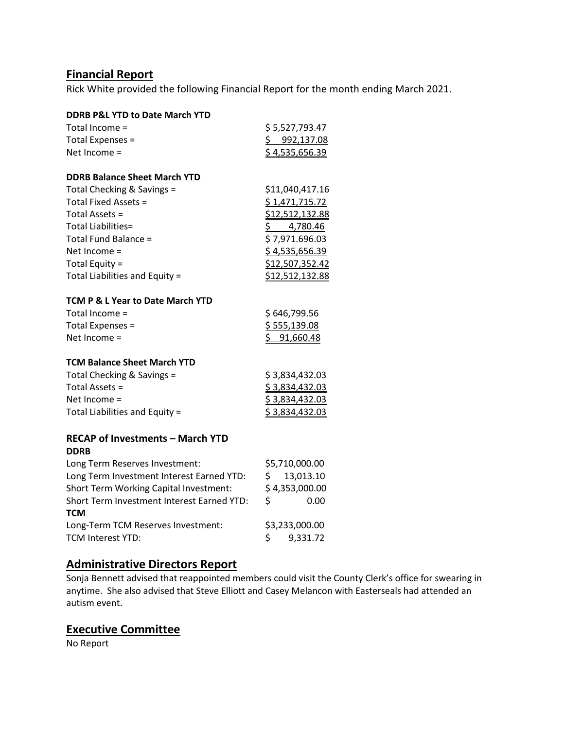### **Financial Report**

Rick White provided the following Financial Report for the month ending March 2021.

| <b>DDRB P&amp;L YTD to Date March YTD</b>                                            |                                      |  |  |
|--------------------------------------------------------------------------------------|--------------------------------------|--|--|
| Total Income =                                                                       | \$5,527,793.47                       |  |  |
| Total Expenses =                                                                     | <u>\$992,137.08</u>                  |  |  |
| Net Income =                                                                         | \$4,535,656.39                       |  |  |
|                                                                                      |                                      |  |  |
| <b>DDRB Balance Sheet March YTD</b>                                                  |                                      |  |  |
| Total Checking & Savings =                                                           | \$11,040,417.16                      |  |  |
| Total Fixed Assets =                                                                 | \$1,471,715.72                       |  |  |
| Total Assets =                                                                       | \$12,512,132.88                      |  |  |
| <b>Total Liabilities=</b>                                                            | 4,780.46<br>$\mathsf{\underline{S}}$ |  |  |
| Total Fund Balance =                                                                 | \$7,971.696.03                       |  |  |
| Net Income =                                                                         | \$4,535,656.39                       |  |  |
| Total Equity =                                                                       | \$12,507,352.42                      |  |  |
| Total Liabilities and Equity =                                                       | \$12,512,132.88                      |  |  |
| TCM P & L Year to Date March YTD                                                     |                                      |  |  |
| Total Income =                                                                       | \$646,799.56                         |  |  |
| Total Expenses =                                                                     | \$555,139.08                         |  |  |
| Net Income =                                                                         | \$91,660.48                          |  |  |
|                                                                                      |                                      |  |  |
| <b>TCM Balance Sheet March YTD</b>                                                   |                                      |  |  |
| Total Checking & Savings =                                                           | \$3,834,432.03                       |  |  |
| Total Assets =                                                                       | \$3,834,432.03                       |  |  |
| Net Income =                                                                         | \$3,834,432.03                       |  |  |
| Total Liabilities and Equity =                                                       | \$3,834,432.03                       |  |  |
|                                                                                      |                                      |  |  |
| <b>RECAP of Investments - March YTD</b><br><b>DDRB</b>                               |                                      |  |  |
| Long Term Reserves Investment:                                                       | \$5,710,000.00                       |  |  |
|                                                                                      | 13,013.10                            |  |  |
| Long Term Investment Interest Earned YTD:                                            | \$                                   |  |  |
| Short Term Working Capital Investment:<br>Short Term Investment Interest Earned YTD: | \$4,353,000.00                       |  |  |
|                                                                                      | \$<br>0.00                           |  |  |
| <b>TCM</b>                                                                           |                                      |  |  |
| Long-Term TCM Reserves Investment:                                                   | \$3,233,000.00                       |  |  |
| TCM Interest YTD:                                                                    | \$<br>9,331.72                       |  |  |

# **Administrative Directors Report**

Sonja Bennett advised that reappointed members could visit the County Clerk's office for swearing in anytime. She also advised that Steve Elliott and Casey Melancon with Easterseals had attended an autism event.

## **Executive Committee**

No Report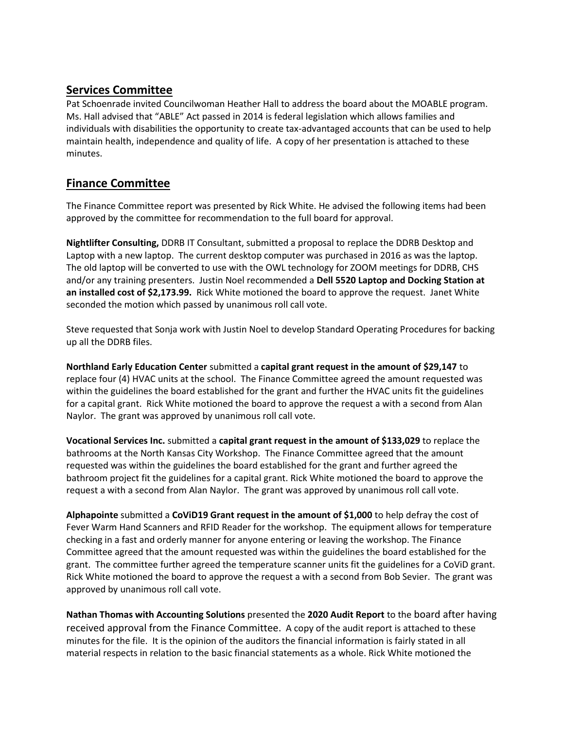### **Services Committee**

Pat Schoenrade invited Councilwoman Heather Hall to address the board about the MOABLE program. Ms. Hall advised that "ABLE" Act passed in 2014 is federal legislation which allows families and individuals with disabilities the opportunity to create tax-advantaged accounts that can be used to help maintain health, independence and quality of life. A copy of her presentation is attached to these minutes.

### **Finance Committee**

The Finance Committee report was presented by Rick White. He advised the following items had been approved by the committee for recommendation to the full board for approval.

**Nightlifter Consulting,** DDRB IT Consultant, submitted a proposal to replace the DDRB Desktop and Laptop with a new laptop. The current desktop computer was purchased in 2016 as was the laptop. The old laptop will be converted to use with the OWL technology for ZOOM meetings for DDRB, CHS and/or any training presenters. Justin Noel recommended a **Dell 5520 Laptop and Docking Station at an installed cost of \$2,173.99.** Rick White motioned the board to approve the request. Janet White seconded the motion which passed by unanimous roll call vote.

Steve requested that Sonja work with Justin Noel to develop Standard Operating Procedures for backing up all the DDRB files.

**Northland Early Education Center** submitted a **capital grant request in the amount of \$29,147** to replace four (4) HVAC units at the school. The Finance Committee agreed the amount requested was within the guidelines the board established for the grant and further the HVAC units fit the guidelines for a capital grant. Rick White motioned the board to approve the request a with a second from Alan Naylor. The grant was approved by unanimous roll call vote.

**Vocational Services Inc.** submitted a **capital grant request in the amount of \$133,029** to replace the bathrooms at the North Kansas City Workshop. The Finance Committee agreed that the amount requested was within the guidelines the board established for the grant and further agreed the bathroom project fit the guidelines for a capital grant. Rick White motioned the board to approve the request a with a second from Alan Naylor. The grant was approved by unanimous roll call vote.

**Alphapointe** submitted a **CoViD19 Grant request in the amount of \$1,000** to help defray the cost of Fever Warm Hand Scanners and RFID Reader for the workshop. The equipment allows for temperature checking in a fast and orderly manner for anyone entering or leaving the workshop. The Finance Committee agreed that the amount requested was within the guidelines the board established for the grant. The committee further agreed the temperature scanner units fit the guidelines for a CoViD grant. Rick White motioned the board to approve the request a with a second from Bob Sevier. The grant was approved by unanimous roll call vote.

**Nathan Thomas with Accounting Solutions** presented the **2020 Audit Report** to the board after having received approval from the Finance Committee. A copy of the audit report is attached to these minutes for the file. It is the opinion of the auditors the financial information is fairly stated in all material respects in relation to the basic financial statements as a whole. Rick White motioned the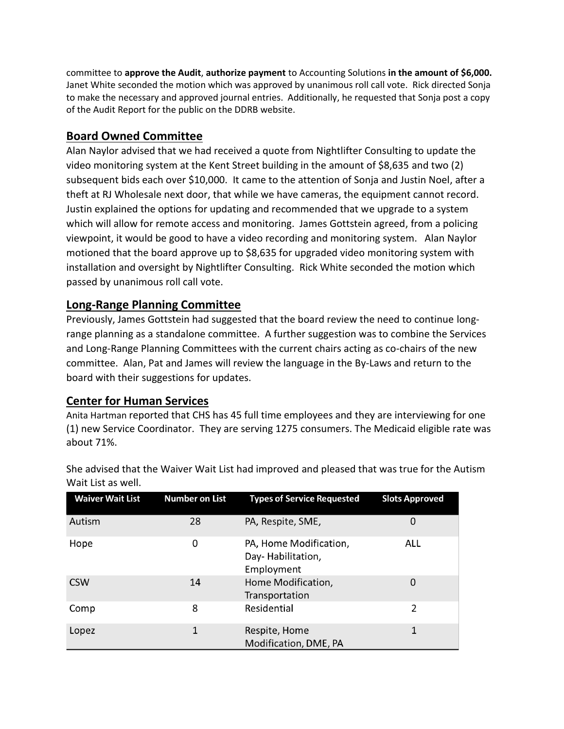committee to **approve the Audit**, **authorize payment** to Accounting Solutions **in the amount of \$6,000.** Janet White seconded the motion which was approved by unanimous roll call vote. Rick directed Sonja to make the necessary and approved journal entries. Additionally, he requested that Sonja post a copy of the Audit Report for the public on the DDRB website.

### **Board Owned Committee**

Alan Naylor advised that we had received a quote from Nightlifter Consulting to update the video monitoring system at the Kent Street building in the amount of \$8,635 and two (2) subsequent bids each over \$10,000. It came to the attention of Sonja and Justin Noel, after a theft at RJ Wholesale next door, that while we have cameras, the equipment cannot record. Justin explained the options for updating and recommended that we upgrade to a system which will allow for remote access and monitoring. James Gottstein agreed, from a policing viewpoint, it would be good to have a video recording and monitoring system. Alan Naylor motioned that the board approve up to \$8,635 for upgraded video monitoring system with installation and oversight by Nightlifter Consulting. Rick White seconded the motion which passed by unanimous roll call vote.

#### **Long-Range Planning Committee**

Previously, James Gottstein had suggested that the board review the need to continue longrange planning as a standalone committee. A further suggestion was to combine the Services and Long-Range Planning Committees with the current chairs acting as co-chairs of the new committee. Alan, Pat and James will review the language in the By-Laws and return to the board with their suggestions for updates.

#### **Center for Human Services**

Anita Hartman reported that CHS has 45 full time employees and they are interviewing for one (1) new Service Coordinator. They are serving 1275 consumers. The Medicaid eligible rate was about 71%.

| <b>Waiver Wait List</b> | <b>Number on List</b> | <b>Types of Service Requested</b>                         | <b>Slots Approved</b> |
|-------------------------|-----------------------|-----------------------------------------------------------|-----------------------|
| Autism                  | 28                    | PA, Respite, SME,                                         | 0                     |
| Hope                    | 0                     | PA, Home Modification,<br>Day-Habilitation,<br>Employment | ALL                   |
| <b>CSW</b>              | 14                    | Home Modification,<br>Transportation                      | 0                     |
| Comp                    | 8                     | Residential                                               | 2                     |
| Lopez                   | 1                     | Respite, Home<br>Modification, DME, PA                    | 1                     |

She advised that the Waiver Wait List had improved and pleased that was true for the Autism Wait List as well.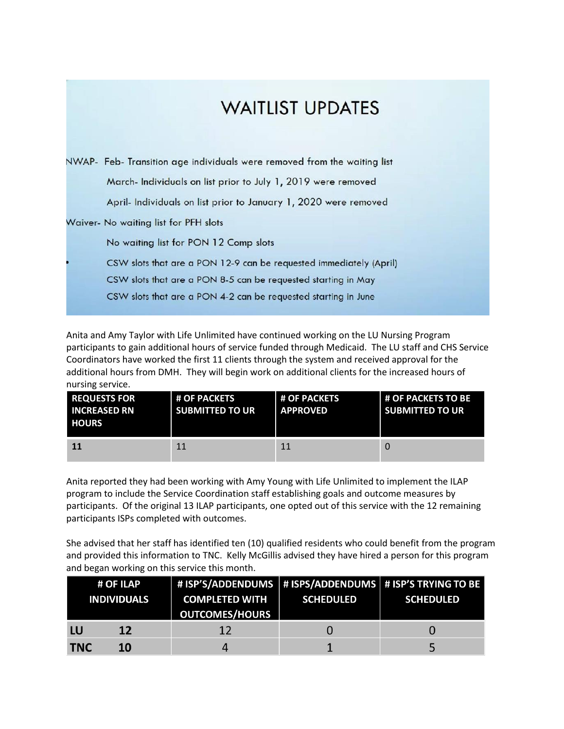# **WAITLIST UPDATES**

|  | NWAP- Feb- Transition age individuals were removed from the waiting list |  |  |  |  |
|--|--------------------------------------------------------------------------|--|--|--|--|
|  | March- Individuals on list prior to July 1, 2019 were removed            |  |  |  |  |
|  | April- Individuals on list prior to January 1, 2020 were removed         |  |  |  |  |
|  | Waiver- No waiting list for PFH slots                                    |  |  |  |  |
|  | No waiting list for PON 12 Comp slots                                    |  |  |  |  |
|  | CSW slots that are a PON 12-9 can be requested immediately (April)       |  |  |  |  |
|  | CSW slots that are a PON 8-5 can be requested starting in May            |  |  |  |  |
|  | CSW slots that are a PON 4-2 can be requested starting in June           |  |  |  |  |
|  |                                                                          |  |  |  |  |

Anita and Amy Taylor with Life Unlimited have continued working on the LU Nursing Program participants to gain additional hours of service funded through Medicaid. The LU staff and CHS Service Coordinators have worked the first 11 clients through the system and received approval for the additional hours from DMH. They will begin work on additional clients for the increased hours of nursing service.

| <b>REQUESTS FOR</b><br><b>INCREASED RN</b><br><b>HOURS</b> | <b>L# OF PACKETS</b><br><b>SUBMITTED TO UR</b> | <b>L# OF PACKETS</b><br><b>APPROVED</b> | <b># OF PACKETS TO BE</b><br><b>SUBMITTED TO UR</b> |
|------------------------------------------------------------|------------------------------------------------|-----------------------------------------|-----------------------------------------------------|
| 11                                                         | 11                                             | 11                                      |                                                     |

Anita reported they had been working with Amy Young with Life Unlimited to implement the ILAP program to include the Service Coordination staff establishing goals and outcome measures by participants. Of the original 13 ILAP participants, one opted out of this service with the 12 remaining participants ISPs completed with outcomes.

She advised that her staff has identified ten (10) qualified residents who could benefit from the program and provided this information to TNC. Kelly McGillis advised they have hired a person for this program and began working on this service this month.

|            | # OF ILAP<br><b>INDIVIDUALS</b> | # ISP'S/ADDENDUMS   # ISPS/ADDENDUMS   # ISP <u>'S TRYING TO BE</u><br><b>COMPLETED WITH</b><br><b>OUTCOMES/HOURS</b> | <b>SCHEDULED</b> | <b>SCHEDULED</b> |
|------------|---------------------------------|-----------------------------------------------------------------------------------------------------------------------|------------------|------------------|
| LU         | <b>12</b>                       | 12                                                                                                                    |                  |                  |
| <b>TNC</b> | 10                              | Д                                                                                                                     |                  |                  |